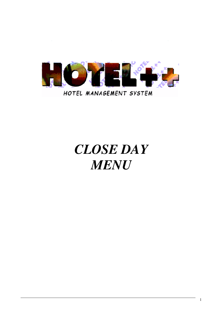

# *CLOSE DAY MENU*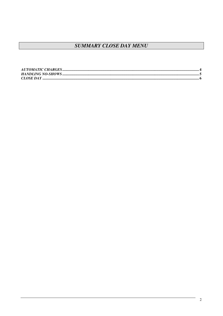# **SUMMARY CLOSE DAY MENU**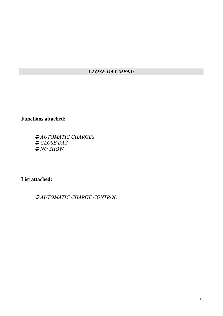# *CLOSE DAY MENU*

**Functions attached:**

 *AUTOMATIC CHARGES CLOSE DAY NO SHOW*

**List attached:**

*AUTOMATIC CHARGE CONTROL*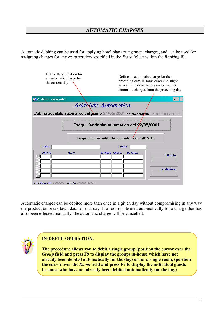### *AUTOMATIC CHARGES*

Automatic debiting can be used for applying hotel plan arrangement charges, and can be used for assigning charges for any extra services specified in the *Extra* folder within the *Booking* file.

| Define the execution for<br>an automatic charge for<br>the current day                              | Define an automatic charge for the<br>preceding day. In some cases (i.e. night<br>arrival) it may be necessary to re-enter<br>automatic charges from the preceding day |  |  |  |  |  |  |  |
|-----------------------------------------------------------------------------------------------------|------------------------------------------------------------------------------------------------------------------------------------------------------------------------|--|--|--|--|--|--|--|
| Addebito automatico                                                                                 | - 101 X                                                                                                                                                                |  |  |  |  |  |  |  |
| Addebito Automatico                                                                                 |                                                                                                                                                                        |  |  |  |  |  |  |  |
| L'ultimo addebito automatico del giorno 21/05/2001 è stato esegúito il 21/05/2001 23:06:15          |                                                                                                                                                                        |  |  |  |  |  |  |  |
| Esegui l'addebito automatico del 22/05/2001<br>Esegui di nuovo l'addebito automatico del 21/05/2001 |                                                                                                                                                                        |  |  |  |  |  |  |  |
| Gruppo <sup>[</sup>                                                                                 | Camera                                                                                                                                                                 |  |  |  |  |  |  |  |
| cliente<br>contratto<br>camera<br>Ultima Chiusura del 21/05/2001 eseguita il 21/05/200123:06:15     | partenza<br>arrang.<br>fatturato<br>produzione                                                                                                                         |  |  |  |  |  |  |  |

Automatic charges can be debited more than once in a given day without compromising in any way the production breakdown data for that day. If a room is debited automatically for a charge that has also been effected manually, the automatic charge will be cancelled.



#### **IN-DEPTH OPERATION:**

**The procedure allows you to debit a single group (position the cursor over the** *Group* **field and press F9 to display the groups in-house which have not already been debited automatically for the day) or for a single room, (position the cursor over the** *Room* **field and press F9 to display the individual guests in-house who have not already been debited automatically for the day)**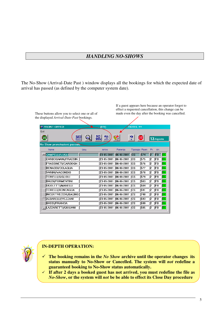#### *HANDLING NO-SHOWS*

The No-Show (Arrival-Date Past ) window displays all the bookings for which the expected date of arrival has passed (as defined by the computer system date).

|                                       | the displayed Arrival-Date-Past bookings. |                                        |                       |                        |                |    |           |           |
|---------------------------------------|-------------------------------------------|----------------------------------------|-----------------------|------------------------|----------------|----|-----------|-----------|
| <b>ES FRONT-OFFICE</b>                |                                           | (EV)                                   |                       | HOTEL ++               |                |    |           |           |
| Exit                                  |                                           |                                        |                       |                        |                |    |           |           |
| <b>TUTTI</b><br><b>GAVE</b><br>N.sHOW |                                           | ND.<br>$ALL$<br>$M9090$<br><b>SHOW</b> | KAR                   | ?                      | <b>EXIT</b>    |    | 13 Agosto |           |
| No Show prenotazioni passate          |                                           |                                        |                       |                        |                |    |           |           |
| Nome                                  | Ditta                                     | Arrivo                                 | Partenza              |                        | Tipologia Room |    | Pr. Arr.  |           |
| CAMPELLI/LUGLI                        |                                           |                                        | 23-05-2001 06-06-2001 | <b>CS</b>              | 574            | 2  | <b>FB</b> | GA        |
| CARBOGNANI/FRASSIN                    |                                           |                                        | 23-05-2001 06-06-2001 | $\overline{\text{cs}}$ | 575            | l2 | lFB.      | GA        |
| FRASSINETI/CARBOGN                    |                                           |                                        | 23-05-2001 06-06-2001 | $\overline{\text{cs}}$ | 576            | l2 | lЕB       | GA        |
| BENASSI/COLAGLIA                      |                                           |                                        | 23-05-2001 06-06-2001 | <b>CS</b>              | 577            | l2 | FB        | GA        |
| VARINI/VACONDIO                       |                                           |                                        | 23-05-2001 06-06-2001 | $\overline{\text{cs}}$ | 578            | l2 | lFВ       | 6A        |
| TORELLI/GIGLIOLI                      |                                           |                                        | 23-05-2001 06-06-2001 | $\overline{\text{cs}}$ | 579            | l2 | IFВ       | GA        |
| <b>BALDI/FORMENTINI</b>               |                                           |                                        | 23-05-2001 06-06-2001 | $\overline{\text{cs}}$ | 583            | l2 | lFВ       | GA        |
| UGOLETTI/MANELLI                      |                                           |                                        | 23-05-2001 06-06-2001 | $\overline{\text{cs}}$ | 584            |    | IΕB       | GA        |
| TORELLI/RONCAGLIA                     |                                           |                                        | 23-05-2001 06-06-2001 | $\overline{\text{cs}}$ | 591            | l2 | IFВ       | GA        |
| INCERTIVECCHI/BAGNO                   |                                           |                                        | 23-05-2001 06-06-2001 | $\sqrt{cs}$            | 740            |    | IFΒ       | <b>GA</b> |
| ALBARELLI/VEZZANI                     |                                           |                                        | 23-05-2001 06-06-2001 | $\sqrt{cs}$            | 593            |    | lFВ       | <b>GA</b> |
| <b>BASSI/FRANCIA</b>                  |                                           |                                        | 23-05-2001 06-06-2001 | <b>CS</b>              | 599            |    | lЕB       | GA.       |
| LAZZARETTI/GIULIANI                   |                                           |                                        | 23-05-2001 06-06-2001 | <b>I</b> CS            | 585            | l2 | FB        | <b>GA</b> |



#### **IN-DEPTH OPERATION:**

- $\checkmark$  **The booking remains in the** *No Show* **archive until the operator changes its status manually to No-Show or Cancelled. The system will** *not* **redefine a guaranteed booking to No-Show status automatically.**
- **If after 2 days a booked guest has not arrived, you must redefine the file as** *No-Show***, or the system will** *not* **be be able to effect its Close Day procedure**